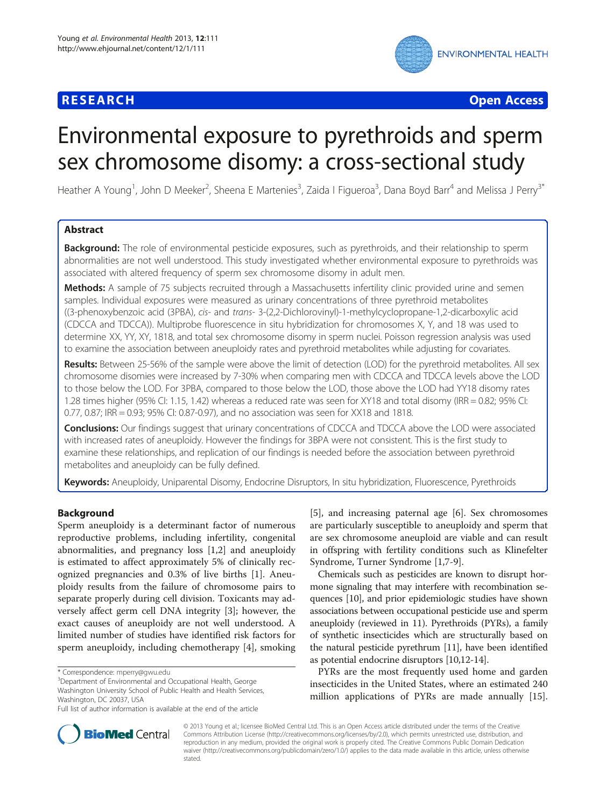## **RESEARCH CHE Open Access**



# Environmental exposure to pyrethroids and sperm sex chromosome disomy: a cross-sectional study

Heather A Young<sup>1</sup>, John D Meeker<sup>2</sup>, Sheena E Martenies<sup>3</sup>, Zaida I Figueroa<sup>3</sup>, Dana Boyd Barr<sup>4</sup> and Melissa J Perry<sup>3\*</sup>

## Abstract

Background: The role of environmental pesticide exposures, such as pyrethroids, and their relationship to sperm abnormalities are not well understood. This study investigated whether environmental exposure to pyrethroids was associated with altered frequency of sperm sex chromosome disomy in adult men.

Methods: A sample of 75 subjects recruited through a Massachusetts infertility clinic provided urine and semen samples. Individual exposures were measured as urinary concentrations of three pyrethroid metabolites ((3-phenoxybenzoic acid (3PBA), cis- and trans- 3-(2,2-Dichlorovinyl)-1-methylcyclopropane-1,2-dicarboxylic acid (CDCCA and TDCCA)). Multiprobe fluorescence in situ hybridization for chromosomes X, Y, and 18 was used to determine XX, YY, XY, 1818, and total sex chromosome disomy in sperm nuclei. Poisson regression analysis was used to examine the association between aneuploidy rates and pyrethroid metabolites while adjusting for covariates.

Results: Between 25-56% of the sample were above the limit of detection (LOD) for the pyrethroid metabolites. All sex chromosome disomies were increased by 7-30% when comparing men with CDCCA and TDCCA levels above the LOD to those below the LOD. For 3PBA, compared to those below the LOD, those above the LOD had YY18 disomy rates 1.28 times higher (95% CI: 1.15, 1.42) whereas a reduced rate was seen for XY18 and total disomy (IRR = 0.82; 95% CI: 0.77, 0.87; IRR = 0.93; 95% CI: 0.87-0.97), and no association was seen for XX18 and 1818.

Conclusions: Our findings suggest that urinary concentrations of CDCCA and TDCCA above the LOD were associated with increased rates of aneuploidy. However the findings for 3BPA were not consistent. This is the first study to examine these relationships, and replication of our findings is needed before the association between pyrethroid metabolites and aneuploidy can be fully defined.

Keywords: Aneuploidy, Uniparental Disomy, Endocrine Disruptors, In situ hybridization, Fluorescence, Pyrethroids

## Background

Sperm aneuploidy is a determinant factor of numerous reproductive problems, including infertility, congenital abnormalities, and pregnancy loss [\[1,2](#page-6-0)] and aneuploidy is estimated to affect approximately 5% of clinically recognized pregnancies and 0.3% of live births [\[1](#page-6-0)]. Aneuploidy results from the failure of chromosome pairs to separate properly during cell division. Toxicants may adversely affect germ cell DNA integrity [[3\]](#page-6-0); however, the exact causes of aneuploidy are not well understood. A limited number of studies have identified risk factors for sperm aneuploidy, including chemotherapy [\[4](#page-6-0)], smoking

[[5\]](#page-6-0), and increasing paternal age [[6\]](#page-6-0). Sex chromosomes are particularly susceptible to aneuploidy and sperm that are sex chromosome aneuploid are viable and can result in offspring with fertility conditions such as Klinefelter Syndrome, Turner Syndrome [\[1,7](#page-6-0)-[9\]](#page-6-0).

Chemicals such as pesticides are known to disrupt hormone signaling that may interfere with recombination sequences [\[10\]](#page-7-0), and prior epidemiologic studies have shown associations between occupational pesticide use and sperm aneuploidy (reviewed in 11). Pyrethroids (PYRs), a family of synthetic insecticides which are structurally based on the natural pesticide pyrethrum [\[11\]](#page-7-0), have been identified as potential endocrine disruptors [\[10,12](#page-7-0)-[14](#page-7-0)].

PYRs are the most frequently used home and garden insecticides in the United States, where an estimated 240 million applications of PYRs are made annually [\[15](#page-7-0)].



© 2013 Young et al.; licensee BioMed Central Ltd. This is an Open Access article distributed under the terms of the Creative Commons Attribution License [\(http://creativecommons.org/licenses/by/2.0\)](http://creativecommons.org/licenses/by/2.0), which permits unrestricted use, distribution, and reproduction in any medium, provided the original work is properly cited. The Creative Commons Public Domain Dedication waiver [\(http://creativecommons.org/publicdomain/zero/1.0/\)](http://creativecommons.org/publicdomain/zero/1.0/) applies to the data made available in this article, unless otherwise stated.

<sup>\*</sup> Correspondence: [mperry@gwu.edu](mailto:mperry@gwu.edu) <sup>3</sup>

Department of Environmental and Occupational Health, George Washington University School of Public Health and Health Services, Washington, DC 20037, USA

Full list of author information is available at the end of the article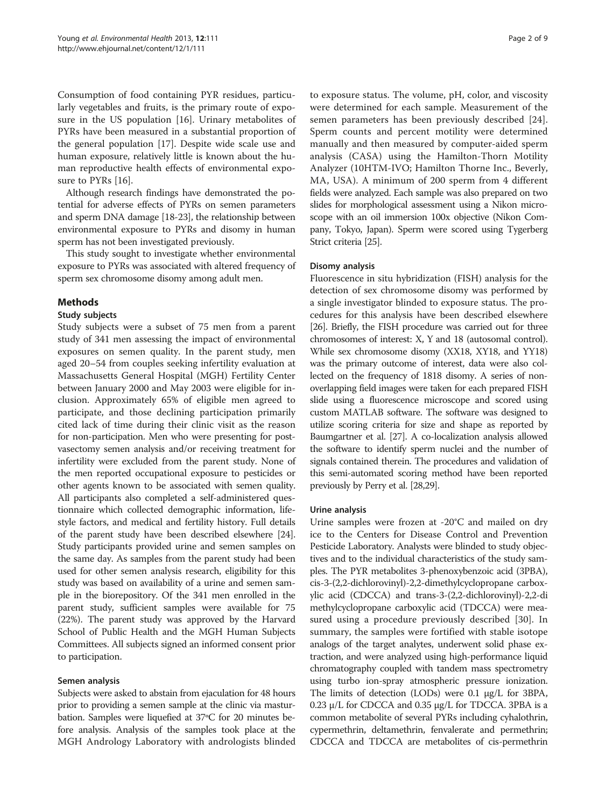Consumption of food containing PYR residues, particularly vegetables and fruits, is the primary route of exposure in the US population [\[16\]](#page-7-0). Urinary metabolites of PYRs have been measured in a substantial proportion of the general population [\[17\]](#page-7-0). Despite wide scale use and human exposure, relatively little is known about the human reproductive health effects of environmental expo-sure to PYRs [[16\]](#page-7-0).

Although research findings have demonstrated the potential for adverse effects of PYRs on semen parameters and sperm DNA damage [[18-23\]](#page-7-0), the relationship between environmental exposure to PYRs and disomy in human sperm has not been investigated previously.

This study sought to investigate whether environmental exposure to PYRs was associated with altered frequency of sperm sex chromosome disomy among adult men.

## Methods

### Study subjects

Study subjects were a subset of 75 men from a parent study of 341 men assessing the impact of environmental exposures on semen quality. In the parent study, men aged 20–54 from couples seeking infertility evaluation at Massachusetts General Hospital (MGH) Fertility Center between January 2000 and May 2003 were eligible for inclusion. Approximately 65% of eligible men agreed to participate, and those declining participation primarily cited lack of time during their clinic visit as the reason for non-participation. Men who were presenting for postvasectomy semen analysis and/or receiving treatment for infertility were excluded from the parent study. None of the men reported occupational exposure to pesticides or other agents known to be associated with semen quality. All participants also completed a self-administered questionnaire which collected demographic information, lifestyle factors, and medical and fertility history. Full details of the parent study have been described elsewhere [[24](#page-7-0)]. Study participants provided urine and semen samples on the same day. As samples from the parent study had been used for other semen analysis research, eligibility for this study was based on availability of a urine and semen sample in the biorepository. Of the 341 men enrolled in the parent study, sufficient samples were available for 75 (22%). The parent study was approved by the Harvard School of Public Health and the MGH Human Subjects Committees. All subjects signed an informed consent prior to participation.

## Semen analysis

Subjects were asked to abstain from ejaculation for 48 hours prior to providing a semen sample at the clinic via masturbation. Samples were liquefied at 37ºC for 20 minutes before analysis. Analysis of the samples took place at the MGH Andrology Laboratory with andrologists blinded

to exposure status. The volume, pH, color, and viscosity were determined for each sample. Measurement of the semen parameters has been previously described [\[24](#page-7-0)]. Sperm counts and percent motility were determined manually and then measured by computer-aided sperm analysis (CASA) using the Hamilton-Thorn Motility Analyzer (10HTM-IVO; Hamilton Thorne Inc., Beverly, MA, USA). A minimum of 200 sperm from 4 different fields were analyzed. Each sample was also prepared on two slides for morphological assessment using a Nikon microscope with an oil immersion 100x objective (Nikon Company, Tokyo, Japan). Sperm were scored using Tygerberg Strict criteria [\[25\]](#page-7-0).

### Disomy analysis

Fluorescence in situ hybridization (FISH) analysis for the detection of sex chromosome disomy was performed by a single investigator blinded to exposure status. The procedures for this analysis have been described elsewhere [[26](#page-7-0)]. Briefly, the FISH procedure was carried out for three chromosomes of interest: X, Y and 18 (autosomal control). While sex chromosome disomy (XX18, XY18, and YY18) was the primary outcome of interest, data were also collected on the frequency of 1818 disomy. A series of nonoverlapping field images were taken for each prepared FISH slide using a fluorescence microscope and scored using custom MATLAB software. The software was designed to utilize scoring criteria for size and shape as reported by Baumgartner et al. [\[27](#page-7-0)]. A co-localization analysis allowed the software to identify sperm nuclei and the number of signals contained therein. The procedures and validation of this semi-automated scoring method have been reported previously by Perry et al. [\[28,29](#page-7-0)].

#### Urine analysis

Urine samples were frozen at -20°C and mailed on dry ice to the Centers for Disease Control and Prevention Pesticide Laboratory. Analysts were blinded to study objectives and to the individual characteristics of the study samples. The PYR metabolites 3-phenoxybenzoic acid (3PBA), cis-3-(2,2-dichlorovinyl)-2,2-dimethylcyclopropane carboxylic acid (CDCCA) and trans-3-(2,2-dichlorovinyl)-2,2-di methylcyclopropane carboxylic acid (TDCCA) were measured using a procedure previously described [\[30](#page-7-0)]. In summary, the samples were fortified with stable isotope analogs of the target analytes, underwent solid phase extraction, and were analyzed using high-performance liquid chromatography coupled with tandem mass spectrometry using turbo ion-spray atmospheric pressure ionization. The limits of detection (LODs) were 0.1 μg/L for 3BPA, 0.23  $\mu$ /L for CDCCA and 0.35  $\mu$ g/L for TDCCA. 3PBA is a common metabolite of several PYRs including cyhalothrin, cypermethrin, deltamethrin, fenvalerate and permethrin; CDCCA and TDCCA are metabolites of cis-permethrin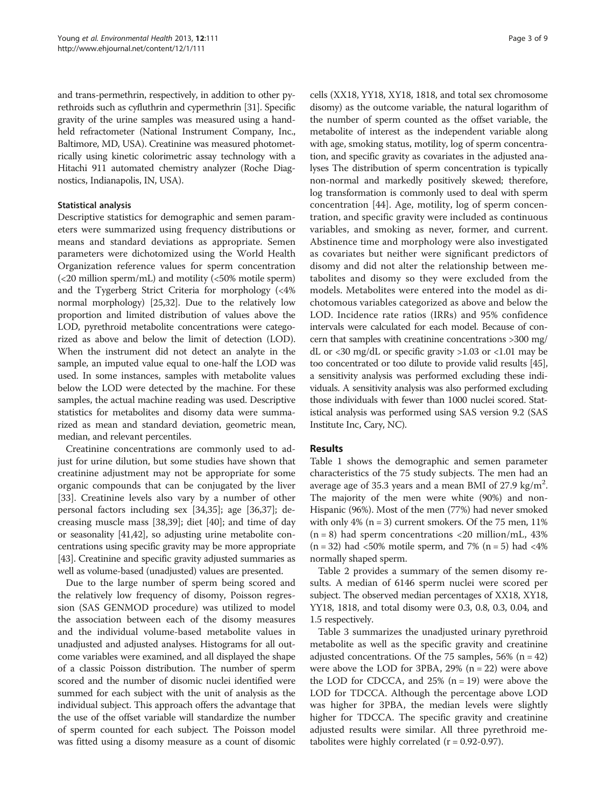and trans-permethrin, respectively, in addition to other pyrethroids such as cyfluthrin and cypermethrin [\[31\]](#page-7-0). Specific gravity of the urine samples was measured using a handheld refractometer (National Instrument Company, Inc., Baltimore, MD, USA). Creatinine was measured photometrically using kinetic colorimetric assay technology with a Hitachi 911 automated chemistry analyzer (Roche Diagnostics, Indianapolis, IN, USA).

## Statistical analysis

Descriptive statistics for demographic and semen parameters were summarized using frequency distributions or means and standard deviations as appropriate. Semen parameters were dichotomized using the World Health Organization reference values for sperm concentration  $\left($  <20 million sperm/mL) and motility  $\left($  <50% motile sperm) and the Tygerberg Strict Criteria for morphology (<4% normal morphology) [[25,32\]](#page-7-0). Due to the relatively low proportion and limited distribution of values above the LOD, pyrethroid metabolite concentrations were categorized as above and below the limit of detection (LOD). When the instrument did not detect an analyte in the sample, an imputed value equal to one-half the LOD was used. In some instances, samples with metabolite values below the LOD were detected by the machine. For these samples, the actual machine reading was used. Descriptive statistics for metabolites and disomy data were summarized as mean and standard deviation, geometric mean, median, and relevant percentiles.

Creatinine concentrations are commonly used to adjust for urine dilution, but some studies have shown that creatinine adjustment may not be appropriate for some organic compounds that can be conjugated by the liver [[33\]](#page-7-0). Creatinine levels also vary by a number of other personal factors including sex [\[34,35\]](#page-7-0); age [\[36,37](#page-7-0)]; decreasing muscle mass [[38,39\]](#page-7-0); diet [[40\]](#page-7-0); and time of day or seasonality [\[41,42](#page-7-0)], so adjusting urine metabolite concentrations using specific gravity may be more appropriate [[43](#page-7-0)]. Creatinine and specific gravity adjusted summaries as well as volume-based (unadjusted) values are presented.

Due to the large number of sperm being scored and the relatively low frequency of disomy, Poisson regression (SAS GENMOD procedure) was utilized to model the association between each of the disomy measures and the individual volume-based metabolite values in unadjusted and adjusted analyses. Histograms for all outcome variables were examined, and all displayed the shape of a classic Poisson distribution. The number of sperm scored and the number of disomic nuclei identified were summed for each subject with the unit of analysis as the individual subject. This approach offers the advantage that the use of the offset variable will standardize the number of sperm counted for each subject. The Poisson model was fitted using a disomy measure as a count of disomic

cells (XX18, YY18, XY18, 1818, and total sex chromosome disomy) as the outcome variable, the natural logarithm of the number of sperm counted as the offset variable, the metabolite of interest as the independent variable along with age, smoking status, motility, log of sperm concentration, and specific gravity as covariates in the adjusted analyses The distribution of sperm concentration is typically non-normal and markedly positively skewed; therefore, log transformation is commonly used to deal with sperm concentration [\[44](#page-7-0)]. Age, motility, log of sperm concentration, and specific gravity were included as continuous variables, and smoking as never, former, and current. Abstinence time and morphology were also investigated as covariates but neither were significant predictors of disomy and did not alter the relationship between metabolites and disomy so they were excluded from the models. Metabolites were entered into the model as dichotomous variables categorized as above and below the LOD. Incidence rate ratios (IRRs) and 95% confidence intervals were calculated for each model. Because of concern that samples with creatinine concentrations >300 mg/ dL or  $\langle 30 \rangle$  mg/dL or specific gravity  $>1.03$  or  $\langle 1.01 \rangle$  may be too concentrated or too dilute to provide valid results [\[45](#page-7-0)], a sensitivity analysis was performed excluding these individuals. A sensitivity analysis was also performed excluding those individuals with fewer than 1000 nuclei scored. Statistical analysis was performed using SAS version 9.2 (SAS Institute Inc, Cary, NC).

## Results

Table [1](#page-3-0) shows the demographic and semen parameter characteristics of the 75 study subjects. The men had an average age of 35.3 years and a mean BMI of 27.9  $\text{kg/m}^2$ . The majority of the men were white (90%) and non-Hispanic (96%). Most of the men (77%) had never smoked with only  $4\%$  (n = 3) current smokers. Of the 75 men,  $11\%$  $(n = 8)$  had sperm concentrations <20 million/mL, 43%  $(n = 32)$  had  $\lt 50\%$  motile sperm, and 7%  $(n = 5)$  had  $\lt 4\%$ normally shaped sperm.

Table [2](#page-3-0) provides a summary of the semen disomy results. A median of 6146 sperm nuclei were scored per subject. The observed median percentages of XX18, XY18, YY18, 1818, and total disomy were 0.3, 0.8, 0.3, 0.04, and 1.5 respectively.

Table [3](#page-4-0) summarizes the unadjusted urinary pyrethroid metabolite as well as the specific gravity and creatinine adjusted concentrations. Of the 75 samples, 56% ( $n = 42$ ) were above the LOD for 3PBA, 29%  $(n = 22)$  were above the LOD for CDCCA, and  $25%$  (n = 19) were above the LOD for TDCCA. Although the percentage above LOD was higher for 3PBA, the median levels were slightly higher for TDCCA. The specific gravity and creatinine adjusted results were similar. All three pyrethroid metabolites were highly correlated  $(r = 0.92 - 0.97)$ .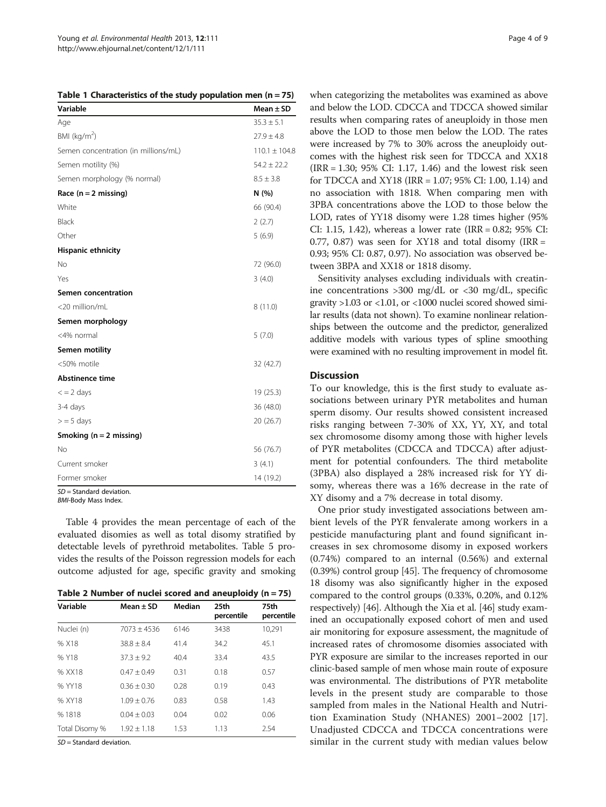<span id="page-3-0"></span>

|  | Table 1 Characteristics of the study population men ( $n = 75$ ) |  |  |  |  |  |
|--|------------------------------------------------------------------|--|--|--|--|--|
|--|------------------------------------------------------------------|--|--|--|--|--|

| Variable                             | Mean $\pm$ SD     |
|--------------------------------------|-------------------|
| Age                                  | $35.3 \pm 5.1$    |
| BMI (kg/m <sup>2</sup> )             | $27.9 \pm 4.8$    |
| Semen concentration (in millions/mL) | $110.1 \pm 104.8$ |
| Semen motility (%)                   | $54.2 \pm 22.2$   |
| Semen morphology (% normal)          | $8.5 \pm 3.8$     |
| Race $(n = 2$ missing)               | N(%)              |
| White                                | 66 (90.4)         |
| Black                                | 2(2.7)            |
| Other                                | 5(6.9)            |
| Hispanic ethnicity                   |                   |
| No                                   | 72 (96.0)         |
| Yes                                  | 3(4.0)            |
| Semen concentration                  |                   |
| <20 million/mL                       | 8(11.0)           |
| Semen morphology                     |                   |
| <4% normal                           | 5(7.0)            |
| Semen motility                       |                   |
| <50% motile                          | 32 (42.7)         |
| <b>Abstinence time</b>               |                   |
| $\epsilon$ = 2 days                  | 19 (25.3)         |
| 3-4 days                             | 36 (48.0)         |
| $>$ = 5 days                         | 20 (26.7)         |
| Smoking ( $n = 2$ missing)           |                   |
| No                                   | 56 (76.7)         |
| Current smoker                       | 3(4.1)            |
| Former smoker                        | 14 (19.2)         |

 $SD =$  Standard deviation.

BMI-Body Mass Index.

Table [4](#page-4-0) provides the mean percentage of each of the evaluated disomies as well as total disomy stratified by detectable levels of pyrethroid metabolites. Table [5](#page-5-0) provides the results of the Poisson regression models for each outcome adjusted for age, specific gravity and smoking

Table 2 Number of nuclei scored and aneuploidy  $(n = 75)$ 

| Variable       | Mean $\pm$ SD   | <b>Median</b> | 25th<br>percentile | 75th<br>percentile |
|----------------|-----------------|---------------|--------------------|--------------------|
| Nuclei (n)     | $7073 \pm 4536$ | 6146          | 3438               | 10,291             |
| % X18          | $38.8 + 8.4$    | 41.4          | 34.2               | 45.1               |
| % Y18          | $37.3 + 9.2$    | 40.4          | 33.4               | 43.5               |
| % XX18         | $0.47 \pm 0.49$ | 0.31          | 0.18               | 0.57               |
| % YY18         | $0.36 + 0.30$   | 0.28          | 0.19               | 0.43               |
| % XY18         | $1.09 + 0.76$   | 0.83          | 0.58               | 1.43               |
| %1818          | $0.04 + 0.03$   | 0.04          | 0.02               | 0.06               |
| Total Disomy % | $1.92 + 1.18$   | 1.53          | 1.13               | 2.54               |
|                |                 |               |                    |                    |

 $SD =$  Standard deviation.

when categorizing the metabolites was examined as above and below the LOD. CDCCA and TDCCA showed similar results when comparing rates of aneuploidy in those men above the LOD to those men below the LOD. The rates were increased by 7% to 30% across the aneuploidy outcomes with the highest risk seen for TDCCA and XX18 (IRR = 1.30; 95% CI: 1.17, 1.46) and the lowest risk seen for TDCCA and XY18 (IRR = 1.07; 95% CI: 1.00, 1.14) and no association with 1818. When comparing men with 3PBA concentrations above the LOD to those below the LOD, rates of YY18 disomy were 1.28 times higher (95% CI: 1.15, 1.42), whereas a lower rate (IRR = 0.82; 95% CI: 0.77, 0.87) was seen for XY18 and total disomy (IRR  $=$ 0.93; 95% CI: 0.87, 0.97). No association was observed between 3BPA and XX18 or 1818 disomy.

Sensitivity analyses excluding individuals with creatinine concentrations >300 mg/dL or <30 mg/dL, specific gravity >1.03 or <1.01, or <1000 nuclei scored showed similar results (data not shown). To examine nonlinear relationships between the outcome and the predictor, generalized additive models with various types of spline smoothing were examined with no resulting improvement in model fit.

#### **Discussion**

To our knowledge, this is the first study to evaluate associations between urinary PYR metabolites and human sperm disomy. Our results showed consistent increased risks ranging between 7-30% of XX, YY, XY, and total sex chromosome disomy among those with higher levels of PYR metabolites (CDCCA and TDCCA) after adjustment for potential confounders. The third metabolite (3PBA) also displayed a 28% increased risk for YY disomy, whereas there was a 16% decrease in the rate of XY disomy and a 7% decrease in total disomy.

One prior study investigated associations between ambient levels of the PYR fenvalerate among workers in a pesticide manufacturing plant and found significant increases in sex chromosome disomy in exposed workers (0.74%) compared to an internal (0.56%) and external (0.39%) control group [[45](#page-7-0)]. The frequency of chromosome 18 disomy was also significantly higher in the exposed compared to the control groups (0.33%, 0.20%, and 0.12% respectively) [\[46\]](#page-7-0). Although the Xia et al. [\[46\]](#page-7-0) study examined an occupationally exposed cohort of men and used air monitoring for exposure assessment, the magnitude of increased rates of chromosome disomies associated with PYR exposure are similar to the increases reported in our clinic-based sample of men whose main route of exposure was environmental. The distributions of PYR metabolite levels in the present study are comparable to those sampled from males in the National Health and Nutrition Examination Study (NHANES) 2001–2002 [[17](#page-7-0)]. Unadjusted CDCCA and TDCCA concentrations were similar in the current study with median values below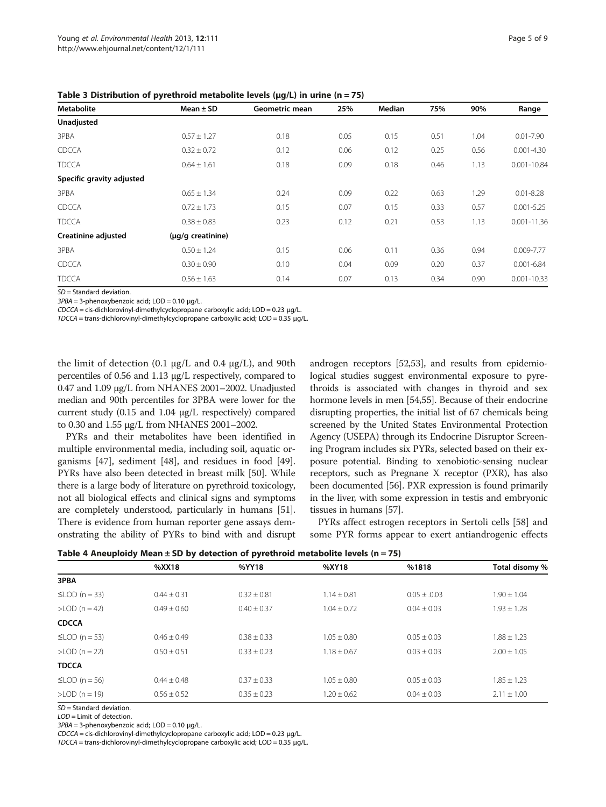| <b>Metabolite</b>         | Mean $\pm$ SD     | Geometric mean | 25%  | Median | 75%  | 90%  | Range           |
|---------------------------|-------------------|----------------|------|--------|------|------|-----------------|
| Unadjusted                |                   |                |      |        |      |      |                 |
| 3PBA                      | $0.57 \pm 1.27$   | 0.18           | 0.05 | 0.15   | 0.51 | 1.04 | $0.01 - 7.90$   |
| <b>CDCCA</b>              | $0.32 \pm 0.72$   | 0.12           | 0.06 | 0.12   | 0.25 | 0.56 | $0.001 - 4.30$  |
| <b>TDCCA</b>              | $0.64 \pm 1.61$   | 0.18           | 0.09 | 0.18   | 0.46 | 1.13 | $0.001 - 10.84$ |
| Specific gravity adjusted |                   |                |      |        |      |      |                 |
| 3PBA                      | $0.65 \pm 1.34$   | 0.24           | 0.09 | 0.22   | 0.63 | 1.29 | $0.01 - 8.28$   |
| <b>CDCCA</b>              | $0.72 \pm 1.73$   | 0.15           | 0.07 | 0.15   | 0.33 | 0.57 | $0.001 - 5.25$  |
| <b>TDCCA</b>              | $0.38 \pm 0.83$   | 0.23           | 0.12 | 0.21   | 0.53 | 1.13 | $0.001 - 11.36$ |
| Creatinine adjusted       | (µg/g creatinine) |                |      |        |      |      |                 |
| 3PBA                      | $0.50 \pm 1.24$   | 0.15           | 0.06 | 0.11   | 0.36 | 0.94 | $0.009 - 7.77$  |
| <b>CDCCA</b>              | $0.30 \pm 0.90$   | 0.10           | 0.04 | 0.09   | 0.20 | 0.37 | $0.001 - 6.84$  |
| <b>TDCCA</b>              | $0.56 \pm 1.63$   | 0.14           | 0.07 | 0.13   | 0.34 | 0.90 | $0.001 - 10.33$ |

<span id="page-4-0"></span>Table 3 Distribution of pyrethroid metabolite levels (μg/L) in urine ( $n = 75$ )

 $SD =$  Standard deviation.

3PBA = 3-phenoxybenzoic acid; LOD = 0.10 μg/L.

CDCCA = cis-dichlorovinyl-dimethylcyclopropane carboxylic acid; LOD = 0.23 μg/L.

TDCCA = trans-dichlorovinyl-dimethylcyclopropane carboxylic acid; LOD = 0.35 μg/L.

the limit of detection  $(0.1 \mu g/L)$  and  $(0.4 \mu g/L)$ , and  $(90$ th percentiles of 0.56 and 1.13 μg/L respectively, compared to 0.47 and 1.09 μg/L from NHANES 2001–2002. Unadjusted median and 90th percentiles for 3PBA were lower for the current study (0.15 and 1.04 μg/L respectively) compared to 0.30 and 1.55 μg/L from NHANES 2001–2002.

PYRs and their metabolites have been identified in multiple environmental media, including soil, aquatic organisms [[47\]](#page-7-0), sediment [\[48\]](#page-7-0), and residues in food [\[49](#page-7-0)]. PYRs have also been detected in breast milk [\[50](#page-7-0)]. While there is a large body of literature on pyrethroid toxicology, not all biological effects and clinical signs and symptoms are completely understood, particularly in humans [[51](#page-7-0)]. There is evidence from human reporter gene assays demonstrating the ability of PYRs to bind with and disrupt androgen receptors [\[52,53](#page-7-0)], and results from epidemiological studies suggest environmental exposure to pyrethroids is associated with changes in thyroid and sex hormone levels in men [[54,55](#page-7-0)]. Because of their endocrine disrupting properties, the initial list of 67 chemicals being screened by the United States Environmental Protection Agency (USEPA) through its Endocrine Disruptor Screening Program includes six PYRs, selected based on their exposure potential. Binding to xenobiotic-sensing nuclear receptors, such as Pregnane X receptor (PXR), has also been documented [[56](#page-7-0)]. PXR expression is found primarily in the liver, with some expression in testis and embryonic tissues in humans [[57](#page-8-0)].

PYRs affect estrogen receptors in Sertoli cells [\[58](#page-8-0)] and some PYR forms appear to exert antiandrogenic effects

|                     | %XX18           | %YY18           | %XY18           | %1818           | Total disomy %  |
|---------------------|-----------------|-----------------|-----------------|-----------------|-----------------|
| 3PBA                |                 |                 |                 |                 |                 |
| $\leq$ LOD (n = 33) | $0.44 \pm 0.31$ | $0.32 \pm 0.81$ | $1.14 \pm 0.81$ | $0.05 \pm 0.03$ | $1.90 \pm 1.04$ |
| $>$ LOD (n = 42)    | $0.49 \pm 0.60$ | $0.40 \pm 0.37$ | $1.04 \pm 0.72$ | $0.04 \pm 0.03$ | $1.93 \pm 1.28$ |
| <b>CDCCA</b>        |                 |                 |                 |                 |                 |
| $\le$ LOD (n = 53)  | $0.46 + 0.49$   | $0.38 \pm 0.33$ | $1.05 \pm 0.80$ | $0.05 + 0.03$   | $1.88 \pm 1.23$ |
| $>$ LOD (n = 22)    | $0.50 \pm 0.51$ | $0.33 \pm 0.23$ | $1.18 \pm 0.67$ | $0.03 \pm 0.03$ | $2.00 \pm 1.05$ |
| <b>TDCCA</b>        |                 |                 |                 |                 |                 |
| $\leq$ LOD (n = 56) | $0.44 + 0.48$   | $0.37 \pm 0.33$ | $1.05 \pm 0.80$ | $0.05 \pm 0.03$ | $1.85 \pm 1.23$ |
| $>$ LOD (n = 19)    | $0.56 \pm 0.52$ | $0.35 \pm 0.23$ | $1.20 \pm 0.62$ | $0.04 \pm 0.03$ | $2.11 \pm 1.00$ |
| .                   |                 |                 |                 |                 |                 |

Table 4 Aneuploidy Mean  $\pm$  SD by detection of pyrethroid metabolite levels (n = 75)

 $SD =$ Standard deviation.

LOD = Limit of detection.

3PBA = 3-phenoxybenzoic acid; LOD = 0.10 μg/L.

CDCCA = cis-dichlorovinyl-dimethylcyclopropane carboxylic acid; LOD = 0.23 μg/L.

TDCCA = trans-dichlorovinyl-dimethylcyclopropane carboxylic acid; LOD = 0.35 μg/L.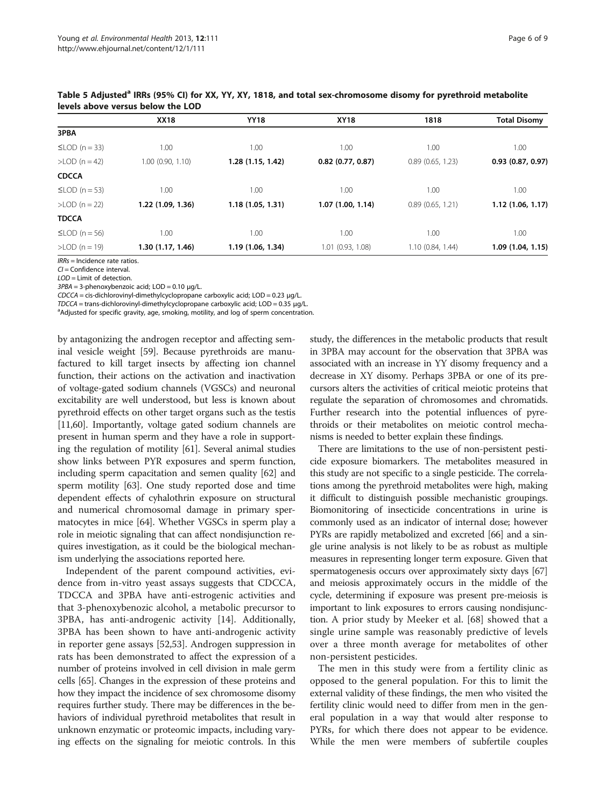|                     | <b>XX18</b>            | <b>YY18</b>       | <b>XY18</b>         | 1818             | <b>Total Disomy</b> |
|---------------------|------------------------|-------------------|---------------------|------------------|---------------------|
| 3PBA                |                        |                   |                     |                  |                     |
| $\leq$ LOD (n = 33) | 1.00                   | 1.00              | 1.00                | 1.00             | 1.00                |
| $>$ LOD (n = 42)    | $1.00$ (0.90, $1.10$ ) | 1.28 (1.15, 1.42) | $0.82$ (0.77, 0.87) | 0.89(0.65, 1.23) | 0.93(0.87, 0.97)    |
| <b>CDCCA</b>        |                        |                   |                     |                  |                     |
| $\leq$ LOD (n = 53) | 1.00                   | 1.00              | 1.00                | 1.00             | 1.00                |
| $>$ LOD (n = 22)    | 1.22 (1.09, 1.36)      | 1.18(1.05, 1.31)  | 1.07(1.00, 1.14)    | 0.89(0.65, 1.21) | 1.12(1.06, 1.17)    |
| <b>TDCCA</b>        |                        |                   |                     |                  |                     |
| $\leq$ LOD (n = 56) | 1.00                   | 1.00              | 1.00                | 1.00             | 1.00                |
| $>$ LOD (n = 19)    | 1.30 (1.17, 1.46)      | 1.19 (1.06, 1.34) | 1.01 (0.93, 1.08)   | 1.10(0.84, 1.44) | 1.09(1.04, 1.15)    |

<span id="page-5-0"></span>Table 5 Adjusted<sup>a</sup> IRRs (95% CI) for XX, YY, XY, 1818, and total sex-chromosome disomy for pyrethroid metabolite levels above versus below the LOD

IRRs = Incidence rate ratios.

 $CI =$  Confidence interval.

LOD = Limit of detection.

3PBA = 3-phenoxybenzoic acid; LOD = 0.10 μg/L.

CDCCA = cis-dichlorovinyl-dimethylcyclopropane carboxylic acid; LOD = 0.23 μg/L.

TDCCA = trans-dichlorovinyl-dimethylcyclopropane carboxylic acid; LOD = 0.35 <sup>μ</sup>g/L. <sup>a</sup>

<sup>a</sup>Adjusted for specific gravity, age, smoking, motility, and log of sperm concentration.

by antagonizing the androgen receptor and affecting seminal vesicle weight [[59](#page-8-0)]. Because pyrethroids are manufactured to kill target insects by affecting ion channel function, their actions on the activation and inactivation of voltage-gated sodium channels (VGSCs) and neuronal excitability are well understood, but less is known about pyrethroid effects on other target organs such as the testis [[11](#page-7-0)[,60](#page-8-0)]. Importantly, voltage gated sodium channels are present in human sperm and they have a role in supporting the regulation of motility [\[61\]](#page-8-0). Several animal studies show links between PYR exposures and sperm function, including sperm capacitation and semen quality [\[62\]](#page-8-0) and sperm motility [[63](#page-8-0)]. One study reported dose and time dependent effects of cyhalothrin exposure on structural and numerical chromosomal damage in primary spermatocytes in mice [\[64\]](#page-8-0). Whether VGSCs in sperm play a role in meiotic signaling that can affect nondisjunction requires investigation, as it could be the biological mechanism underlying the associations reported here.

Independent of the parent compound activities, evidence from in-vitro yeast assays suggests that CDCCA, TDCCA and 3PBA have anti-estrogenic activities and that 3-phenoxybenozic alcohol, a metabolic precursor to 3PBA, has anti-androgenic activity [\[14\]](#page-7-0). Additionally, 3PBA has been shown to have anti-androgenic activity in reporter gene assays [\[52,53\]](#page-7-0). Androgen suppression in rats has been demonstrated to affect the expression of a number of proteins involved in cell division in male germ cells [\[65](#page-8-0)]. Changes in the expression of these proteins and how they impact the incidence of sex chromosome disomy requires further study. There may be differences in the behaviors of individual pyrethroid metabolites that result in unknown enzymatic or proteomic impacts, including varying effects on the signaling for meiotic controls. In this study, the differences in the metabolic products that result in 3PBA may account for the observation that 3PBA was associated with an increase in YY disomy frequency and a decrease in XY disomy. Perhaps 3PBA or one of its precursors alters the activities of critical meiotic proteins that regulate the separation of chromosomes and chromatids. Further research into the potential influences of pyrethroids or their metabolites on meiotic control mechanisms is needed to better explain these findings.

There are limitations to the use of non-persistent pesticide exposure biomarkers. The metabolites measured in this study are not specific to a single pesticide. The correlations among the pyrethroid metabolites were high, making it difficult to distinguish possible mechanistic groupings. Biomonitoring of insecticide concentrations in urine is commonly used as an indicator of internal dose; however PYRs are rapidly metabolized and excreted [[66](#page-8-0)] and a single urine analysis is not likely to be as robust as multiple measures in representing longer term exposure. Given that spermatogenesis occurs over approximately sixty days [\[67](#page-8-0)] and meiosis approximately occurs in the middle of the cycle, determining if exposure was present pre-meiosis is important to link exposures to errors causing nondisjunction. A prior study by Meeker et al. [[68\]](#page-8-0) showed that a single urine sample was reasonably predictive of levels over a three month average for metabolites of other non-persistent pesticides.

The men in this study were from a fertility clinic as opposed to the general population. For this to limit the external validity of these findings, the men who visited the fertility clinic would need to differ from men in the general population in a way that would alter response to PYRs, for which there does not appear to be evidence. While the men were members of subfertile couples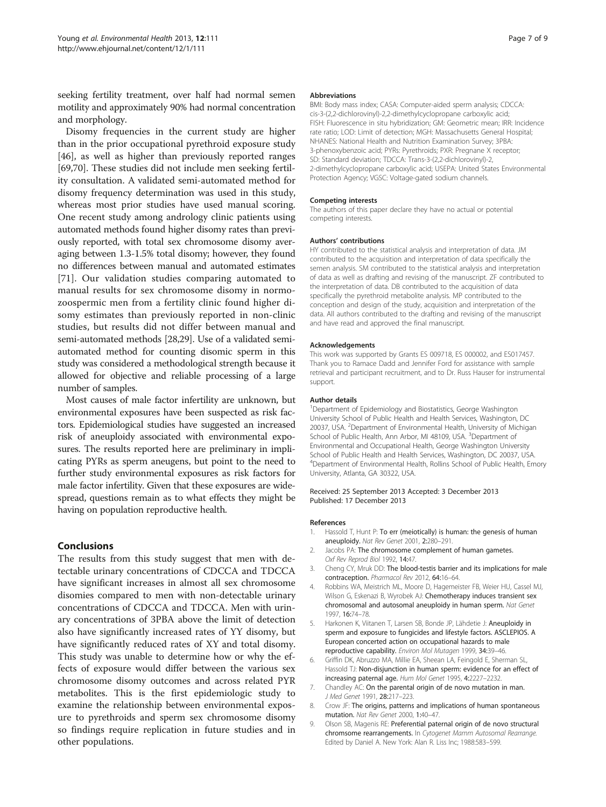<span id="page-6-0"></span>seeking fertility treatment, over half had normal semen motility and approximately 90% had normal concentration and morphology.

Disomy frequencies in the current study are higher than in the prior occupational pyrethroid exposure study [[46\]](#page-7-0), as well as higher than previously reported ranges [[69,70\]](#page-8-0). These studies did not include men seeking fertility consultation. A validated semi-automated method for disomy frequency determination was used in this study, whereas most prior studies have used manual scoring. One recent study among andrology clinic patients using automated methods found higher disomy rates than previously reported, with total sex chromosome disomy averaging between 1.3-1.5% total disomy; however, they found no differences between manual and automated estimates [[71\]](#page-8-0). Our validation studies comparing automated to manual results for sex chromosome disomy in normozoospermic men from a fertility clinic found higher disomy estimates than previously reported in non-clinic studies, but results did not differ between manual and semi-automated methods [[28,29](#page-7-0)]. Use of a validated semiautomated method for counting disomic sperm in this study was considered a methodological strength because it allowed for objective and reliable processing of a large number of samples.

Most causes of male factor infertility are unknown, but environmental exposures have been suspected as risk factors. Epidemiological studies have suggested an increased risk of aneuploidy associated with environmental exposures. The results reported here are preliminary in implicating PYRs as sperm aneugens, but point to the need to further study environmental exposures as risk factors for male factor infertility. Given that these exposures are widespread, questions remain as to what effects they might be having on population reproductive health.

## Conclusions

The results from this study suggest that men with detectable urinary concentrations of CDCCA and TDCCA have significant increases in almost all sex chromosome disomies compared to men with non-detectable urinary concentrations of CDCCA and TDCCA. Men with urinary concentrations of 3PBA above the limit of detection also have significantly increased rates of YY disomy, but have significantly reduced rates of XY and total disomy. This study was unable to determine how or why the effects of exposure would differ between the various sex chromosome disomy outcomes and across related PYR metabolites. This is the first epidemiologic study to examine the relationship between environmental exposure to pyrethroids and sperm sex chromosome disomy so findings require replication in future studies and in other populations.

#### Abbreviations

BMI: Body mass index; CASA: Computer-aided sperm analysis; CDCCA: cis-3-(2,2-dichlorovinyl)-2,2-dimethylcyclopropane carboxylic acid; FISH: Fluorescence in situ hybridization; GM: Geometric mean; IRR: Incidence rate ratio; LOD: Limit of detection; MGH: Massachusetts General Hospital; NHANES: National Health and Nutrition Examination Survey; 3PBA: 3-phenoxybenzoic acid; PYRs: Pyrethroids; PXR: Pregnane X receptor; SD: Standard deviation; TDCCA: Trans-3-(2,2-dichlorovinyl)-2, 2-dimethylcyclopropane carboxylic acid; USEPA: United States Environmental Protection Agency; VGSC: Voltage-gated sodium channels.

#### Competing interests

The authors of this paper declare they have no actual or potential competing interests.

#### Authors' contributions

HY contributed to the statistical analysis and interpretation of data. JM contributed to the acquisition and interpretation of data specifically the semen analysis. SM contributed to the statistical analysis and interpretation of data as well as drafting and revising of the manuscript. ZF contributed to the interpretation of data. DB contributed to the acquisition of data specifically the pyrethroid metabolite analysis. MP contributed to the conception and design of the study, acquisition and interpretation of the data. All authors contributed to the drafting and revising of the manuscript and have read and approved the final manuscript.

#### Acknowledgements

This work was supported by Grants ES 009718, ES 000002, and ES017457. Thank you to Ramace Dadd and Jennifer Ford for assistance with sample retrieval and participant recruitment, and to Dr. Russ Hauser for instrumental support.

#### Author details

<sup>1</sup>Department of Epidemiology and Biostatistics, George Washington University School of Public Health and Health Services, Washington, DC 20037, USA. <sup>2</sup>Department of Environmental Health, University of Michigan School of Public Health, Ann Arbor, MI 48109, USA. <sup>3</sup>Department of Environmental and Occupational Health, George Washington University School of Public Health and Health Services, Washington, DC 20037, USA. 4 Department of Environmental Health, Rollins School of Public Health, Emory University, Atlanta, GA 30322, USA.

#### Received: 25 September 2013 Accepted: 3 December 2013 Published: 17 December 2013

#### References

- 1. Hassold T, Hunt P: To err (meiotically) is human: the genesis of human aneuploidy. Nat Rev Genet 2001, 2:280–291.
- 2. Jacobs PA: The chromosome complement of human gametes. Oxf Rev Reprod Biol 1992, 14:47.
- 3. Cheng CY, Mruk DD: The blood-testis barrier and its implications for male contraception. Pharmacol Rev 2012, 64:16–64.
- 4. Robbins WA, Meistrich ML, Moore D, Hagemeister FB, Weier HU, Cassel MJ, Wilson G, Eskenazi B, Wyrobek AJ: Chemotherapy induces transient sex chromosomal and autosomal aneuploidy in human sperm. Nat Genet 1997, 16:74–78.
- 5. Harkonen K, Viitanen T, Larsen SB, Bonde JP, Lähdetie J: Aneuploidy in sperm and exposure to fungicides and lifestyle factors. ASCLEPIOS. A European concerted action on occupational hazards to male reproductive capability. Environ Mol Mutagen 1999, 34:39–46.
- 6. Griffin DK, Abruzzo MA, Millie EA, Sheean LA, Feingold E, Sherman SL, Hassold TJ: Non-disjunction in human sperm: evidence for an effect of increasing paternal age. Hum Mol Genet 1995, 4:2227–2232.
- 7. Chandley AC: On the parental origin of de novo mutation in man. J Med Genet 1991, 28:217–223.
- 8. Crow JF: The origins, patterns and implications of human spontaneous mutation. Nat Rev Genet 2000, 1:40–47.
- 9. Olson SB, Magenis RE: Preferential paternal origin of de novo structural chromsome rearrangements. In Cytogenet Mamm Autosomal Rearrange. Edited by Daniel A. New York: Alan R. Liss Inc; 1988:583–599.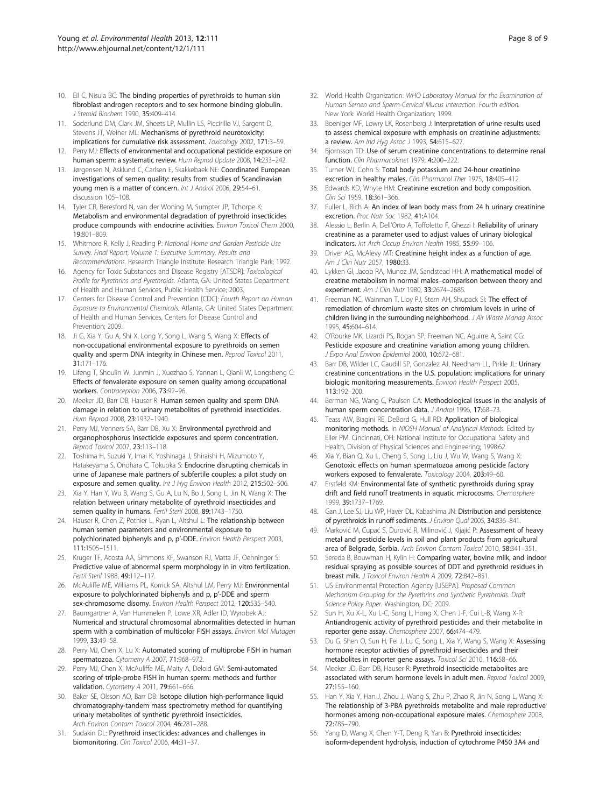- <span id="page-7-0"></span>10. Eil C, Nisula BC: The binding properties of pyrethroids to human skin fibroblast androgen receptors and to sex hormone binding globulin. J Steroid Biochem 1990, 35:409–414.
- 11. Soderlund DM, Clark JM, Sheets LP, Mullin LS, Piccirillo VJ, Sargent D, Stevens JT, Weiner ML: Mechanisms of pyrethroid neurotoxicity: implications for cumulative risk assessment. Toxicology 2002, 171:3–59.
- 12. Perry MJ: Effects of environmental and occupational pesticide exposure on human sperm: a systematic review. Hum Reprod Update 2008, 14:233–242.
- 13. Jørgensen N, Asklund C, Carlsen E, Skakkebaek NE: Coordinated European investigations of semen quality: results from studies of Scandinavian young men is a matter of concern. Int J Androl 2006, 29:54–61. discussion 105–108.
- 14. Tyler CR, Beresford N, van der Woning M, Sumpter JP, Tchorpe K: Metabolism and environmental degradation of pyrethroid insecticides produce compounds with endocrine activities. Environ Toxicol Chem 2000, 19:801–809.
- 15. Whitmore R, Kelly J, Reading P: National Home and Garden Pesticide Use Survey. Final Report, Volume 1: Executive Summary, Results and Recommendations. Research Triangle Institute: Research Triangle Park; 1992.
- 16. Agency for Toxic Substances and Disease Registry [ATSDR]: Toxicological Profile for Pyrethrins and Pyrethroids. Atlanta, GA: United States Department of Health and Human Services, Public Health Service; 2003.
- 17. Centers for Disease Control and Prevention [CDC]: Fourth Report on Human Exposure to Environmental Chemicals. Atlanta, GA: United States Department of Health and Human Services, Centers for Disease Control and Prevention; 2009.
- 18. Ji G, Xia Y, Gu A, Shi X, Long Y, Song L, Wang S, Wang X: Effects of non-occupational environmental exposure to pyrethroids on semen quality and sperm DNA integrity in Chinese men. Reprod Toxicol 2011, 31:171–176.
- 19. Lifeng T, Shoulin W, Junmin J, Xuezhao S, Yannan L, Qianli W, Longsheng C: Effects of fenvalerate exposure on semen quality among occupational workers. Contraception 2006, 73:92–96.
- 20. Meeker JD, Barr DB, Hauser R: Human semen quality and sperm DNA damage in relation to urinary metabolites of pyrethroid insecticides. Hum Reprod 2008, 23:1932–1940.
- 21. Perry MJ, Venners SA, Barr DB, Xu X: Environmental pyrethroid and organophosphorus insecticide exposures and sperm concentration. Reprod Toxicol 2007, 23:113–118.
- 22. Toshima H, Suzuki Y, Imai K, Yoshinaga J, Shiraishi H, Mizumoto Y, Hatakeyama S, Onohara C, Tokuoka S: Endocrine disrupting chemicals in urine of Japanese male partners of subfertile couples: a pilot study on exposure and semen quality. Int J Hyg Environ Health 2012, 215:502-506.
- 23. Xia Y, Han Y, Wu B, Wang S, Gu A, Lu N, Bo J, Song L, Jin N, Wang X: The relation between urinary metabolite of pyrethroid insecticides and semen quality in humans. Fertil Steril 2008, 89:1743–1750.
- 24. Hauser R, Chen Z, Pothier L, Ryan L, Altshul L: The relationship between human semen parameters and environmental exposure to polychlorinated biphenyls and p, p'-DDE. Environ Health Perspect 2003, 111:1505–1511.
- 25. Kruger TF, Acosta AA, Simmons KF, Swanson RJ, Matta JF, Oehninger S: Predictive value of abnormal sperm morphology in in vitro fertilization. Fertil Steril 1988, 49:112–117.
- 26. McAuliffe ME, Williams PL, Korrick SA, Altshul LM, Perry MJ: Environmental exposure to polychlorinated biphenyls and p, p'-DDE and sperm sex-chromosome disomy. Environ Health Perspect 2012, 120:535–540.
- 27. Baumgartner A, Van Hummelen P, Lowe XR, Adler ID, Wyrobek AJ: Numerical and structural chromosomal abnormalities detected in human sperm with a combination of multicolor FISH assays. Environ Mol Mutagen 1999, 33:49–58.
- 28. Perry MJ, Chen X, Lu X: Automated scoring of multiprobe FISH in human spermatozoa. Cytometry A 2007, 71:968-972.
- 29. Perry MJ, Chen X, McAuliffe ME, Maity A, Deloid GM: Semi-automated scoring of triple-probe FISH in human sperm: methods and further validation. Cytometry A 2011, **79:**661-666.
- 30. Baker SE, Olsson AO, Barr DB: Isotope dilution high-performance liquid chromatography-tandem mass spectrometry method for quantifying urinary metabolites of synthetic pyrethroid insecticides. Arch Environ Contam Toxicol 2004, 46:281–288.
- 31. Sudakin DL: Pyrethroid insecticides: advances and challenges in biomonitoring. Clin Toxicol 2006, 44:31-37.
- 32. World Health Organization: WHO Laboratory Manual for the Examination of Human Semen and Sperm-Cervical Mucus Interaction. Fourth edition. New York: World Health Organization; 1999.
- 33. Boeniger MF, Lowry LK, Rosenberg J: Interpretation of urine results used to assess chemical exposure with emphasis on creatinine adjustments: a review. Am Ind Hyg Assoc J 1993, 54:615–627.
- 34. Bjornsson TD: Use of serum creatinine concentrations to determine renal function. Clin Pharmacokinet 1979, 4:200–222.
- 35. Turner WJ, Cohn S: Total body potassium and 24-hour creatinine excretion in healthy males. Clin Pharmacol Ther 1975, 18:405-412.
- 36. Edwards KD, Whyte HM: Creatinine excretion and body composition. Clin Sci 1959, 18:361–366.
- 37. Fuller L, Rich A: An index of lean body mass from 24 h urinary creatinine excretion. Proc Nutr Soc 1982, 41:A104.
- 38. Alessio L, Berlin A, Dell'Orto A, Toffoletto F, Ghezzi I: Reliability of urinary creatinine as a parameter used to adjust values of urinary biological indicators. Int Arch Occup Environ Health 1985, 55:99–106.
- 39. Driver AG, McAlevy MT: Creatinine height index as a function of age. Am J Clin Nutr 2057, 1980:33.
- 40. Lykken GI, Jacob RA, Munoz JM, Sandstead HH: A mathematical model of creatine metabolism in normal males–comparison between theory and experiment. Am J Clin Nutr 1980, 33:2674–2685.
- 41. Freeman NC, Wainman T, Lioy PJ, Stern AH, Shupack SI: The effect of remediation of chromium waste sites on chromium levels in urine of children living in the surrounding neighborhood. J Air Waste Manag Assoc 1995, 45:604–614.
- 42. O'Rourke MK, Lizardi PS, Rogan SP, Freeman NC, Aguirre A, Saint CG: Pesticide exposure and creatinine variation among young children. J Expo Anal Environ Epidemiol 2000, 10:672-681.
- 43. Barr DB, Wilder LC, Caudill SP, Gonzalez AJ, Needham LL, Pirkle JL: Urinary creatinine concentrations in the U.S. population: implications for urinary biologic monitoring measurements. Environ Health Perspect 2005, 113:192–200.
- 44. Berman NG, Wang C, Paulsen CA: Methodological issues in the analysis of human sperm concentration data. J Androl 1996, 17:68-73.
- 45. Teass AW, Biagini RE, DeBord G, Hull RD: Application of biological monitoring methods. In NIOSH Manual of Analytical Methods. Edited by Eller PM. Cincinnati, OH: National Institute for Occupational Safety and Health, Division of Physical Sciences and Engineering; 1998:62.
- 46. Xia Y, Bian Q, Xu L, Cheng S, Song L, Liu J, Wu W, Wang S, Wang X: Genotoxic effects on human spermatozoa among pesticide factory workers exposed to fenvalerate. Toxicology 2004, 203:49–60.
- 47. Erstfeld KM: Environmental fate of synthetic pyrethroids during spray drift and field runoff treatments in aquatic microcosms. Chemosphere 1999, 39:1737–1769.
- 48. Gan J, Lee SJ, Liu WP, Haver DL, Kabashima JN: Distribution and persistence of pyrethroids in runoff sediments. J Environ Qual 2005, 34:836-841.
- 49. Marković M, Cupać S, Durović R, Milinović J, Kljajić P: Assessment of heavy metal and pesticide levels in soil and plant products from agricultural area of Belgrade, Serbia. Arch Environ Contam Toxicol 2010, 58:341–351.
- 50. Sereda B, Bouwman H, Kylin H: Comparing water, bovine milk, and indoor residual spraying as possible sources of DDT and pyrethroid residues in breast milk. J Toxicol Environ Health A 2009, 72:842–851.
- 51. US Environmental Protection Agency [USEPA]: Proposed Common Mechanism Grouping for the Pyrethrins and Synthetic Pyrethroids. Draft Science Policy Paper. Washington, DC; 2009.
- 52. Sun H, Xu X-L, Xu L-C, Song L, Hong X, Chen J-F, Cui L-B, Wang X-R: Antiandrogenic activity of pyrethroid pesticides and their metabolite in reporter gene assay. Chemosphere 2007, 66:474–479.
- 53. Du G, Shen O, Sun H, Fei J, Lu C, Song L, Xia Y, Wang S, Wang X: Assessing hormone receptor activities of pyrethroid insecticides and their metabolites in reporter gene assays. Toxicol Sci 2010, 116:58–66.
- 54. Meeker JD, Barr DB, Hauser R: Pyrethroid insecticide metabolites are associated with serum hormone levels in adult men. Reprod Toxicol 2009, 27:155–160.
- 55. Han Y, Xia Y, Han J, Zhou J, Wang S, Zhu P, Zhao R, Jin N, Song L, Wang X: The relationship of 3-PBA pyrethroids metabolite and male reproductive hormones among non-occupational exposure males. Chemosphere 2008, 72:785–790.
- 56. Yang D, Wang X, Chen Y-T, Deng R, Yan B: Pyrethroid insecticides: isoform-dependent hydrolysis, induction of cytochrome P450 3A4 and